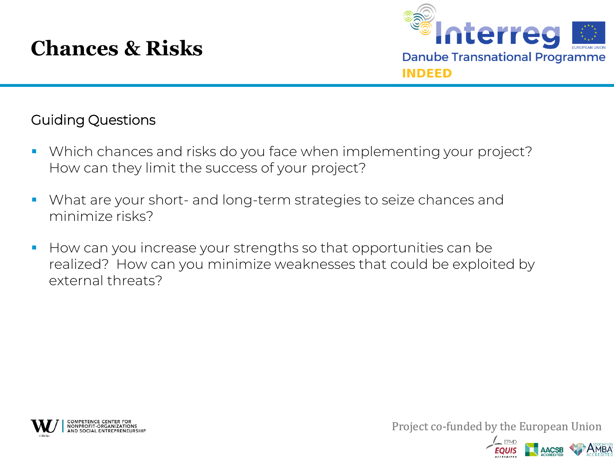## **Chances & Risks**



## Guiding Questions

- Which chances and risks do you face when implementing your project? How can they limit the success of your project?
- What are your short- and long-term strategies to seize chances and minimize risks?
- How can you increase your strengths so that opportunities can be realized? How can you minimize weaknesses that could be exploited by external threats?



Project co-funded by the European Union

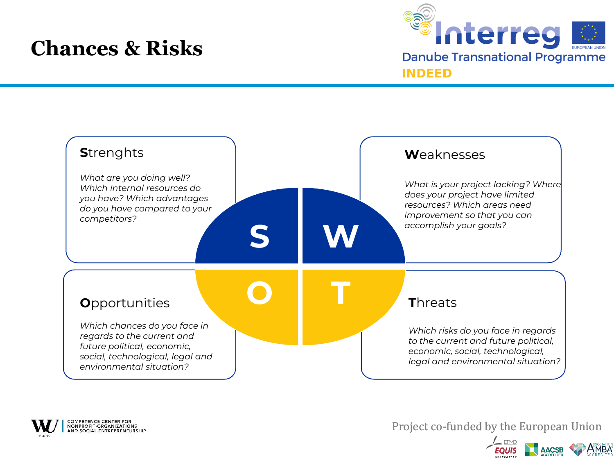## **Chances & Risks**







Project co-funded by the European Union